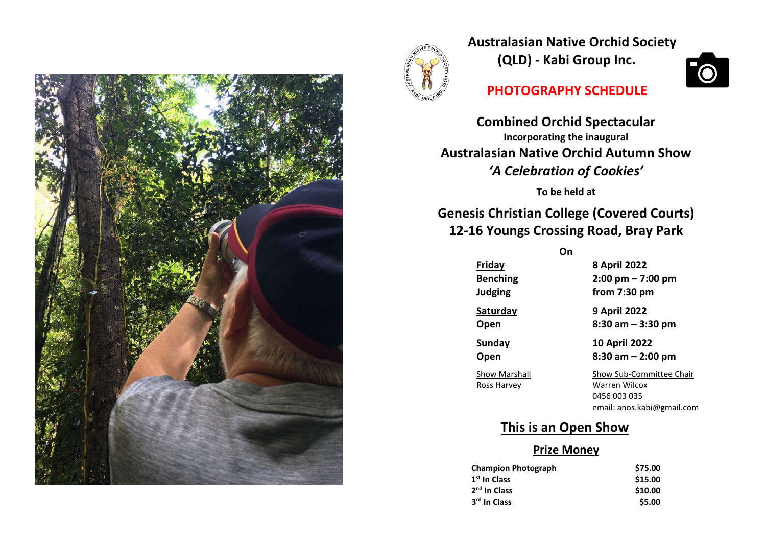



**Australasian Native Orchid Society (QLD) - Kabi Group Inc.**

# **PHOTOGRAPHY SCHEDULE**

**Combined Orchid Spectacular Incorporating the inaugural Australasian Native Orchid Autumn Show** *'A Celebration of Cookies'*

**To be held at**

**Genesis Christian College (Covered Courts) 12-16 Youngs Crossing Road, Bray Park**

**On**

**Friday 8 April 2022 Benching 2:00 pm – 7:00 pm Judging from 7:30 pm**

**Saturday 9 April 2022**

**Open 8:30 am – 3:30 pm Sunday 10 April 2022**

**Open 8:30 am – 2:00 pm**

Show Marshall Show Sub-Committee Chair Ross Harvey Warren Wilcox 0456 003 035 email: anos.kabi@gmail.com

# **This is an Open Show**

# **Prize Money**

| <b>Champion Photograph</b> | \$75.00 |
|----------------------------|---------|
| 1 <sup>st</sup> In Class   | \$15.00 |
| 2 <sup>nd</sup> In Class   | \$10.00 |
| 3 <sup>rd</sup> In Class   | \$5.00  |